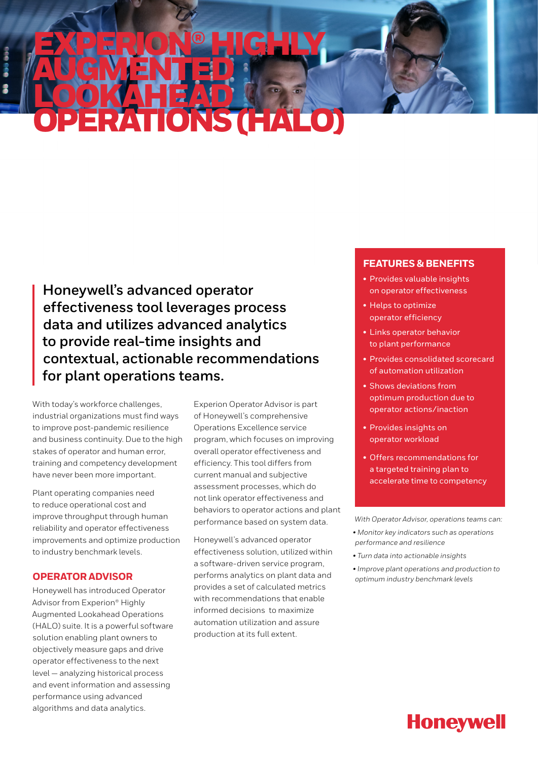# EXPERION® HIGHLY AUGMENTED LOOKAHEAD OPERATIONS (HALO) OPERATOR ADVISOR

**Honeywell's advanced operator effectiveness tool leverages process data and utilizes advanced analytics to provide real-time insights and contextual, actionable recommendations for plant operations teams.**

With today's workforce challenges, industrial organizations must find ways to improve post-pandemic resilience and business continuity. Due to the high stakes of operator and human error, training and competency development have never been more important.

Plant operating companies need to reduce operational cost and improve throughput through human reliability and operator effectiveness improvements and optimize production to industry benchmark levels.

## **OPERATOR ADVISOR**

Honeywell has introduced Operator Advisor from Experion® Highly Augmented Lookahead Operations (HALO) suite. It is a powerful software solution enabling plant owners to objectively measure gaps and drive operator effectiveness to the next level — analyzing historical process and event information and assessing performance using advanced algorithms and data analytics.

Experion Operator Advisor is part of Honeywell's comprehensive Operations Excellence service program, which focuses on improving overall operator effectiveness and efficiency. This tool differs from current manual and subjective assessment processes, which do not link operator effectiveness and behaviors to operator actions and plant performance based on system data.

Honeywell's advanced operator effectiveness solution, utilized within a software-driven service program, performs analytics on plant data and provides a set of calculated metrics with recommendations that enable informed decisions to maximize automation utilization and assure production at its full extent.

## **FEATURES & BENEFITS**

- Provides valuable insights on operator effectiveness
- Helps to optimize operator efficiency
- Links operator behavior to plant performance
- Provides consolidated scorecard of automation utilization
- Shows deviations from optimum production due to operator actions/inaction
- Provides insights on operator workload
- Offers recommendations for a targeted training plan to accelerate time to competency

*With Operator Advisor, operations teams can:*

- *Monitor key indicators such as operations performance and resilience*
- *Turn data into actionable insights*
- *Improve plant operations and production to optimum industry benchmark levels*

**Honeywell**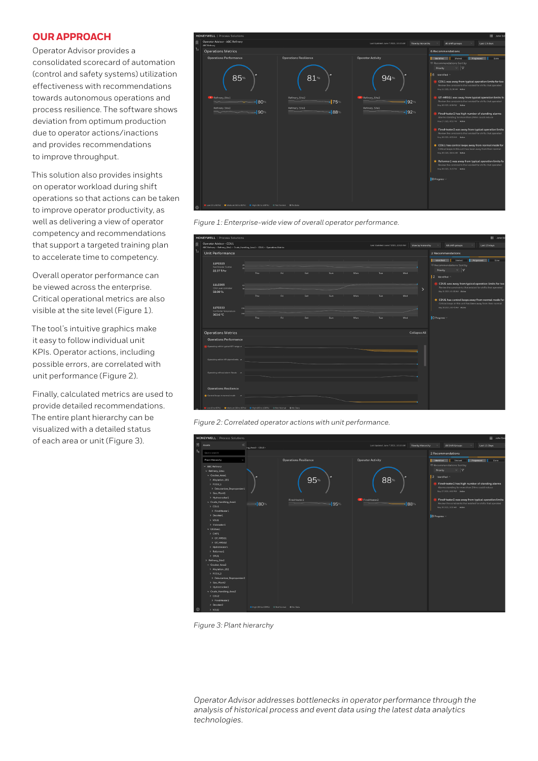# **OUR APPROACH**

Operator Advisor provides a consolidated scorecard of automation (control and safety systems) utilization effectiveness with recommendations towards autonomous operations and process resilience. The software shows deviation from optimum production due to operator actions/inactions and provides recommendations to improve throughput.

This solution also provides insights on operator workload during shift operations so that actions can be taken to improve operator productivity, as well as delivering a view of operator competency and recommendations that support a targeted training plan to accelerate time to competency.

Overall operator performance can be viewed across the enterprise. Critical operational metrics are also visible at the site level (Figure 1).

The tool's intuitive graphics make it easy to follow individual unit KPIs. Operator actions, including possible errors, are correlated with unit performance (Figure 2).

Finally, calculated metrics are used to provide detailed recommendations. The entire plant hierarchy can be visualized with a detailed status of each area or unit (Figure 3).





| <b>HONEYWELL</b>   Process Solutions<br>: John Sm |                                                                                                             |            |     |     |     |                   |                                                                                              |                      |                                                                                                                                                                                                                                                                                                                                                                                                                                                                         |
|---------------------------------------------------|-------------------------------------------------------------------------------------------------------------|------------|-----|-----|-----|-------------------|----------------------------------------------------------------------------------------------|----------------------|-------------------------------------------------------------------------------------------------------------------------------------------------------------------------------------------------------------------------------------------------------------------------------------------------------------------------------------------------------------------------------------------------------------------------------------------------------------------------|
| 圆                                                 | Operator Advisor - CDU1<br>ABC Refinery > Refinery_Site1 > Crude_Handling_Area1 > CDU1 > Operations Metrics |            |     |     |     |                   | All shift groups<br>Last 15 days<br>Last Updated: June 7 2021, 10:10 AM<br>View by hierarchy |                      |                                                                                                                                                                                                                                                                                                                                                                                                                                                                         |
| $\mathbf{t}$                                      | Unit Performance                                                                                            |            |     |     |     | 2 Recommendations |                                                                                              |                      |                                                                                                                                                                                                                                                                                                                                                                                                                                                                         |
|                                                   | 11FC025<br>Feed Master Control<br>22.37 T/hr                                                                | Thu.       | Fri | Sat | Sun | Mon               | Tue                                                                                          | Wed                  | dentified Shelved<br>Prograssed   Done<br><b>IF Recommendations Sort by</b><br>$\vee$ $\mathcal{R}$<br>Priority<br>2 Identified ^<br>CDU1 was away from typical operation limits for too<br>Review the constraints that existed for shifts that operated<br>Mar 31 2021.01:00 AM Active<br>CDU1 has control loops away from normal mode for<br>Critical loops in this unit has been away from their normal<br>May 30 2021, 08:45 AM Active<br>$\vert$ D Progress $\vee$ |
|                                                   | 11LC005<br>CDU Level controller<br>58.08%                                                                   | Thu        | Fri | Sat | Sun | Mon               | Tue                                                                                          | $\rightarrow$<br>Wed |                                                                                                                                                                                                                                                                                                                                                                                                                                                                         |
|                                                   | 11TC033<br>Coll Cutlet Temperature<br>363.6 °C                                                              | 376<br>348 |     |     |     |                   |                                                                                              |                      |                                                                                                                                                                                                                                                                                                                                                                                                                                                                         |
|                                                   |                                                                                                             | Thu        | Fri | Sat | Sun | Mon               | Tue                                                                                          | Wed                  |                                                                                                                                                                                                                                                                                                                                                                                                                                                                         |
|                                                   | <b>Operations Metrics</b>                                                                                   |            |     |     |     |                   |                                                                                              | <b>Collapse All</b>  |                                                                                                                                                                                                                                                                                                                                                                                                                                                                         |
|                                                   | <b>Operations Performance</b>                                                                               |            |     |     |     |                   |                                                                                              |                      |                                                                                                                                                                                                                                                                                                                                                                                                                                                                         |
|                                                   | Operating within typical KPI range A                                                                        |            |     |     |     |                   |                                                                                              |                      |                                                                                                                                                                                                                                                                                                                                                                                                                                                                         |
|                                                   | Operating within KPI alarm limits A                                                                         |            |     |     |     |                   |                                                                                              |                      |                                                                                                                                                                                                                                                                                                                                                                                                                                                                         |
|                                                   | Operating without alarm floods A                                                                            |            |     |     |     |                   |                                                                                              |                      |                                                                                                                                                                                                                                                                                                                                                                                                                                                                         |
|                                                   | <b>Operations Resilience</b>                                                                                |            |     |     |     |                   |                                                                                              |                      |                                                                                                                                                                                                                                                                                                                                                                                                                                                                         |
|                                                   | Control loops in normal mode A                                                                              |            |     |     |     |                   |                                                                                              |                      |                                                                                                                                                                                                                                                                                                                                                                                                                                                                         |
|                                                   | CLow(0 to 60%) CMedium (60 to 80%) CHigh (80 to 100%) CMet Normal C No Bata                                 |            |     |     |     |                   |                                                                                              |                      |                                                                                                                                                                                                                                                                                                                                                                                                                                                                         |

*Figure 2: Correlated operator actions with unit performance.*



*Figure 3: Plant hierarchy*

*Operator Advisor addresses bottlenecks in operator performance through the analysis of historical process and event data using the latest data analytics technologies.*